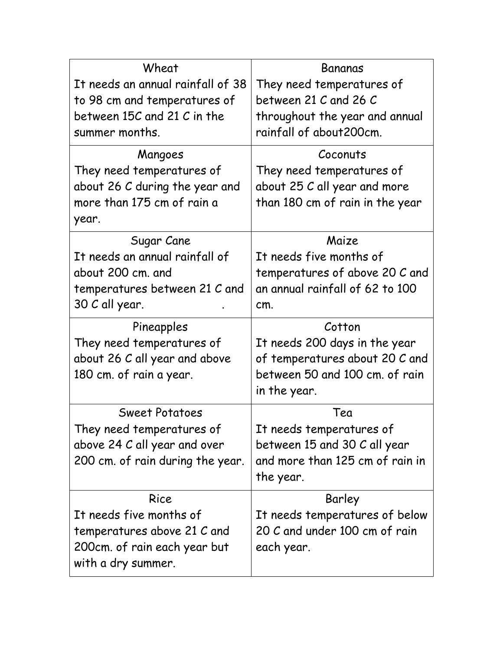| Wheat                                              | Bananas                         |  |  |
|----------------------------------------------------|---------------------------------|--|--|
| It needs an annual rainfall of 38                  | They need temperatures of       |  |  |
| to 98 cm and temperatures of                       | between 21 C and 26 C           |  |  |
| between 15C and 21 C in the                        | throughout the year and annual  |  |  |
| summer months.                                     | rainfall of about 200cm.        |  |  |
| Mangoes                                            | Coconuts                        |  |  |
| They need temperatures of                          | They need temperatures of       |  |  |
| about 26 C during the year and                     | about 25 C all year and more    |  |  |
| more than 175 cm of rain a                         | than 180 cm of rain in the year |  |  |
| year.                                              |                                 |  |  |
| Sugar Cane                                         | Maize                           |  |  |
| It needs an annual rainfall of                     | It needs five months of         |  |  |
| about 200 cm. and                                  | temperatures of above 20 C and  |  |  |
| temperatures between 21 C and                      | an annual rainfall of 62 to 100 |  |  |
| 30 C all year.                                     | cm.                             |  |  |
|                                                    |                                 |  |  |
| Pineapples                                         | Cotton                          |  |  |
| They need temperatures of                          | It needs 200 days in the year   |  |  |
| about 26 C all year and above                      | of temperatures about 20 C and  |  |  |
| 180 cm. of rain a year.                            | between 50 and 100 cm. of rain  |  |  |
|                                                    | in the year.                    |  |  |
| <b>Sweet Potatoes</b>                              | Tea                             |  |  |
| They need temperatures of                          | It needs temperatures of        |  |  |
| above 24 C all year and over                       | between 15 and 30 C all year    |  |  |
| 200 cm. of rain during the year.                   | and more than 125 cm of rain in |  |  |
|                                                    | the year.                       |  |  |
| Rice                                               | Barley                          |  |  |
| It needs five months of                            | It needs temperatures of below  |  |  |
| temperatures above 21 C and                        | 20 C and under 100 cm of rain   |  |  |
| 200cm. of rain each year but<br>with a dry summer. | each year.                      |  |  |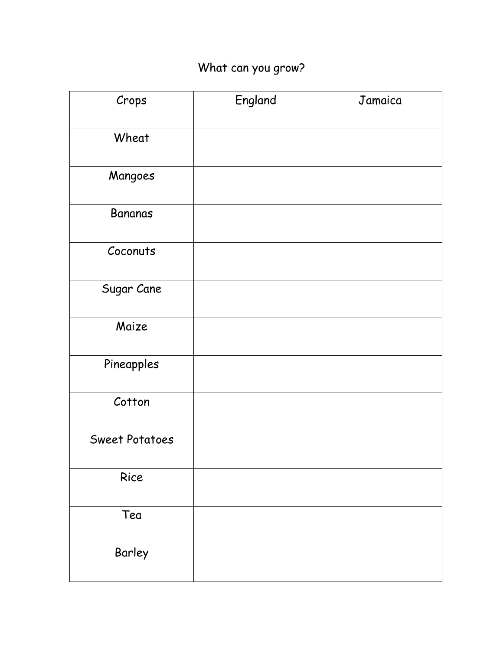## What can you grow?

| Crops                 | England | Jamaica |
|-----------------------|---------|---------|
| Wheat                 |         |         |
| Mangoes               |         |         |
| <b>Bananas</b>        |         |         |
| Coconuts              |         |         |
| Sugar Cane            |         |         |
| Maize                 |         |         |
| Pineapples            |         |         |
| Cotton                |         |         |
| <b>Sweet Potatoes</b> |         |         |
| Rice                  |         |         |
| Tea                   |         |         |
| Barley                |         |         |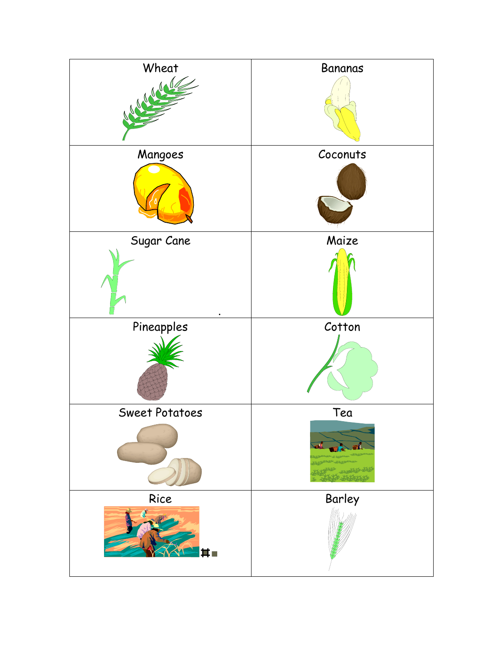